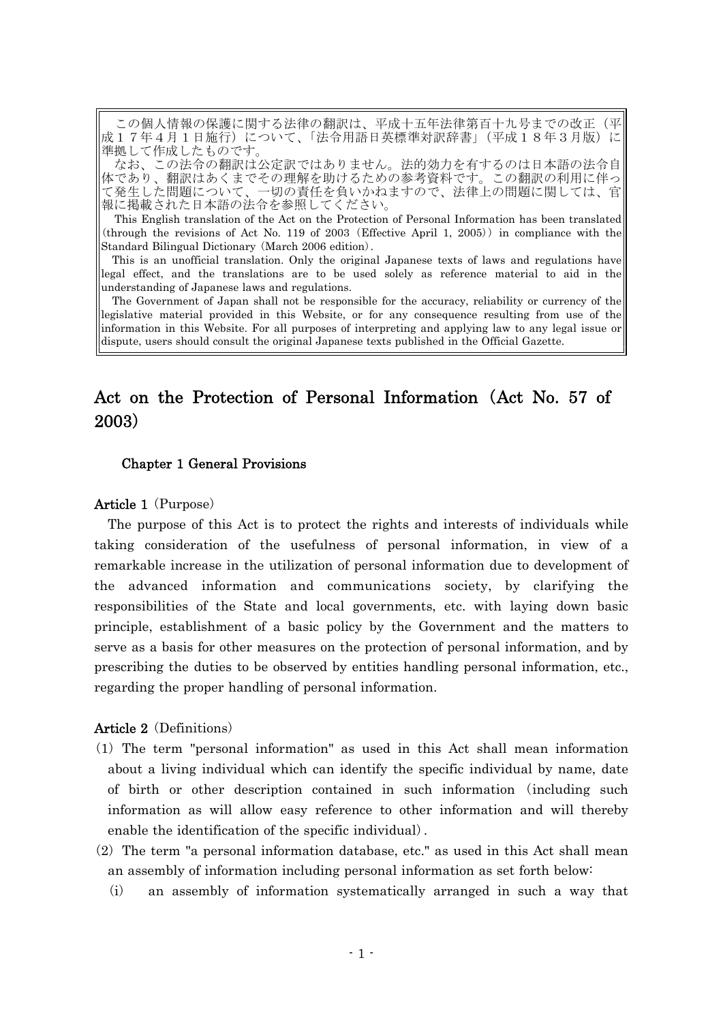この個人情報の保護に関する法律の翻訳は、平成十五年法律第百十九号までの改正(平 成17年4月1日施行)について、「法令用語日英標準対訳辞書」(平成18年3月版)に 準拠して作成したものです。

なお、この法令の翻訳は公定訳ではありません。法的効力を有するのは日本語の法令自 体であり、翻訳はあくまでその理解を助けるための参考資料です。この翻訳の利用に伴っ て発生した問題について、一切の責任を負いかねますので、法律上の問題に関しては、官 報に掲載された日本語の法令を参照してください。

This English translation of the Act on the Protection of Personal Information has been translated  $(through the revisions of Act No. 119 of 2003 (Effective April 1, 2005))$  in compliance with the Standard Bilingual Dictionary (March 2006 edition).

This is an unofficial translation. Only the original Japanese texts of laws and regulations have legal effect, and the translations are to be used solely as reference material to aid in the understanding of Japanese laws and regulations.

The Government of Japan shall not be responsible for the accuracy, reliability or currency of the legislative material provided in this Website, or for any consequence resulting from use of the information in this Website. For all purposes of interpreting and applying law to any legal issue or dispute, users should consult the original Japanese texts published in the Official Gazette.

# Act on the Protection of Personal Information (Act No. 57 of 2003)

#### Chapter 1 General Provisions

#### **Article 1** (Purpose)

The purpose of this Act is to protect the rights and interests of individuals while taking consideration of the usefulness of personal information, in view of a remarkable increase in the utilization of personal information due to development of the advanced information and communications society, by clarifying the responsibilities of the State and local governments, etc. with laying down basic principle, establishment of a basic policy by the Government and the matters to serve as a basis for other measures on the protection of personal information, and by prescribing the duties to be observed by entities handling personal information, etc., regarding the proper handling of personal information.

#### Article 2 (Definitions)

- ( )1 The term "personal information" as used in this Act shall mean information about a living individual which can identify the specific individual by name, date of birth or other description contained in such information including such ( information as will allow easy reference to other information and will thereby enable the identification of the specific individual).
- $(2)$  The term "a personal information database, etc." as used in this Act shall mean an assembly of information including personal information as set forth below:
	- $(i)$  an assembly of information systematically arranged in such a way that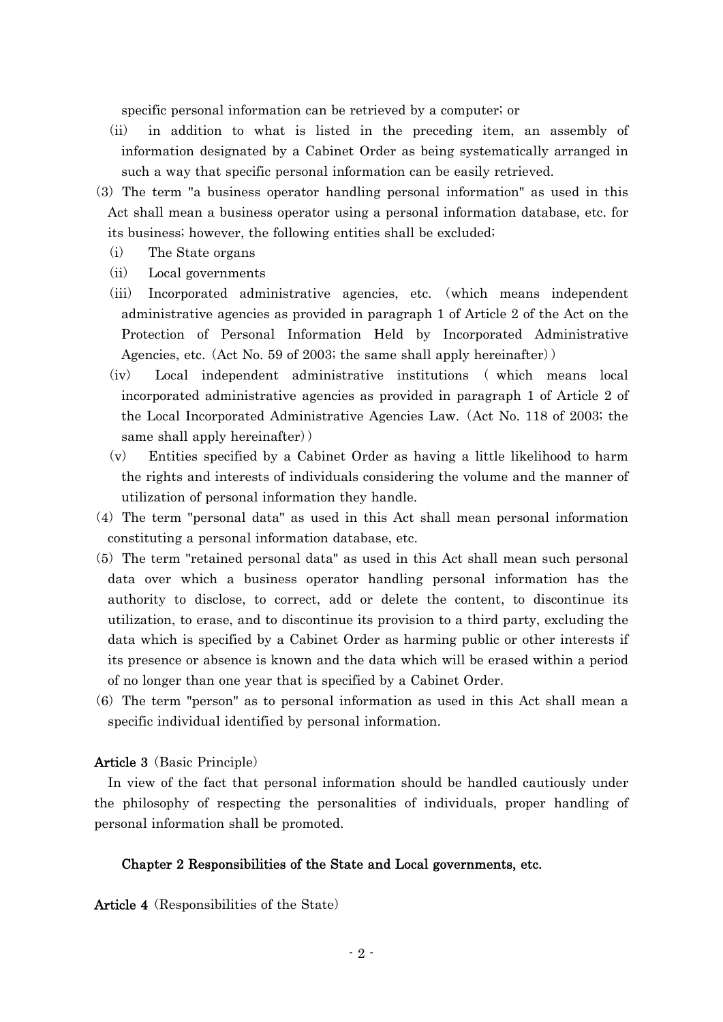specific personal information can be retrieved by a computer; or

- (ii) in addition to what is listed in the preceding item, an assembly of information designated by a Cabinet Order as being systematically arranged in such a way that specific personal information can be easily retrieved.
- (3) The term "a business operator handling personal information" as used in this Act shall mean a business operator using a personal information database, etc. for its business; however, the following entities shall be excluded;
	- (i) The State organs
	- (ii) Local governments
	- (iii) Incorporated administrative agencies, etc. (which means independent administrative agencies as provided in paragraph 1 of Article 2 of the Act on the Protection of Personal Information Held by Incorporated Administrative Agencies, etc. (Act No. 59 of 2003; the same shall apply hereinafter))
	- (iv) Local independent administrative institutions (which means local incorporated administrative agencies as provided in paragraph 1 of Article 2 of the Local Incorporated Administrative Agencies Law. Act No. 118 of 2003; the ( same shall apply hereinafter))
	- $(v)$  Entities specified by a Cabinet Order as having a little likelihood to harm the rights and interests of individuals considering the volume and the manner of utilization of personal information they handle.
- (4) The term "personal data" as used in this Act shall mean personal information constituting a personal information database, etc.
- (5) The term "retained personal data" as used in this Act shall mean such personal data over which a business operator handling personal information has the authority to disclose, to correct, add or delete the content, to discontinue its utilization, to erase, and to discontinue its provision to a third party, excluding the data which is specified by a Cabinet Order as harming public or other interests if its presence or absence is known and the data which will be erased within a period of no longer than one year that is specified by a Cabinet Order.
- $(6)$  The term "person" as to personal information as used in this Act shall mean a specific individual identified by personal information.

#### **Article 3** (Basic Principle)

In view of the fact that personal information should be handled cautiously under the philosophy of respecting the personalities of individuals, proper handling of personal information shall be promoted.

### Chapter 2 Responsibilities of the State and Local governments, etc.

Article 4 (Responsibilities of the State)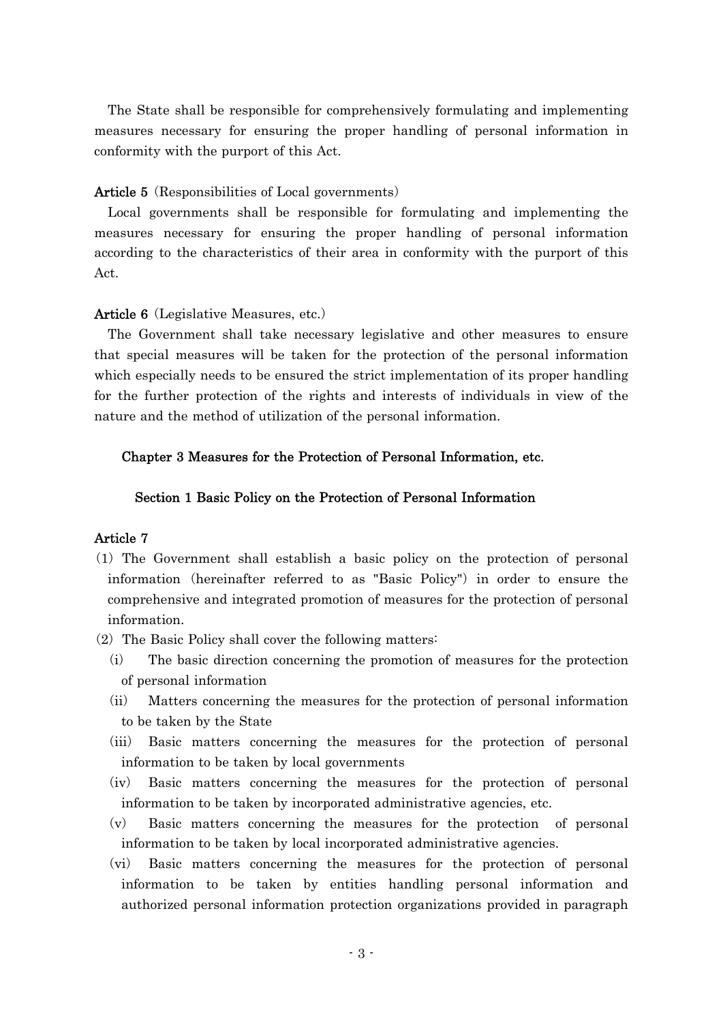The State shall be responsible for comprehensively formulating and implementing measures necessary for ensuring the proper handling of personal information in conformity with the purport of this Act.

## Article 5 (Responsibilities of Local governments)

Local governments shall be responsible for formulating and implementing the measures necessary for ensuring the proper handling of personal information according to the characteristics of their area in conformity with the purport of this Act.

## **Article 6** (Legislative Measures, etc.)

The Government shall take necessary legislative and other measures to ensure that special measures will be taken for the protection of the personal information which especially needs to be ensured the strict implementation of its proper handling for the further protection of the rights and interests of individuals in view of the nature and the method of utilization of the personal information.

## Chapter 3 Measures for the Protection of Personal Information, etc.

### Section 1 Basic Policy on the Protection of Personal Information

## Article 7

- ( )1 The Government shall establish a basic policy on the protection of personal information (hereinafter referred to as "Basic Policy") in order to ensure the comprehensive and integrated promotion of measures for the protection of personal information.
- $(2)$  The Basic Policy shall cover the following matters:
	- $(i)$  The basic direction concerning the promotion of measures for the protection of personal information
	- (ii) Matters concerning the measures for the protection of personal information to be taken by the State
	- (iii) Basic matters concerning the measures for the protection of personal information to be taken by local governments
	- $(iv)$  Basic matters concerning the measures for the protection of personal information to be taken by incorporated administrative agencies, etc.
	- $(v)$  Basic matters concerning the measures for the protection of personal information to be taken by local incorporated administrative agencies.
	- (vi) Basic matters concerning the measures for the protection of personal information to be taken by entities handling personal information and authorized personal information protection organizations provided in paragraph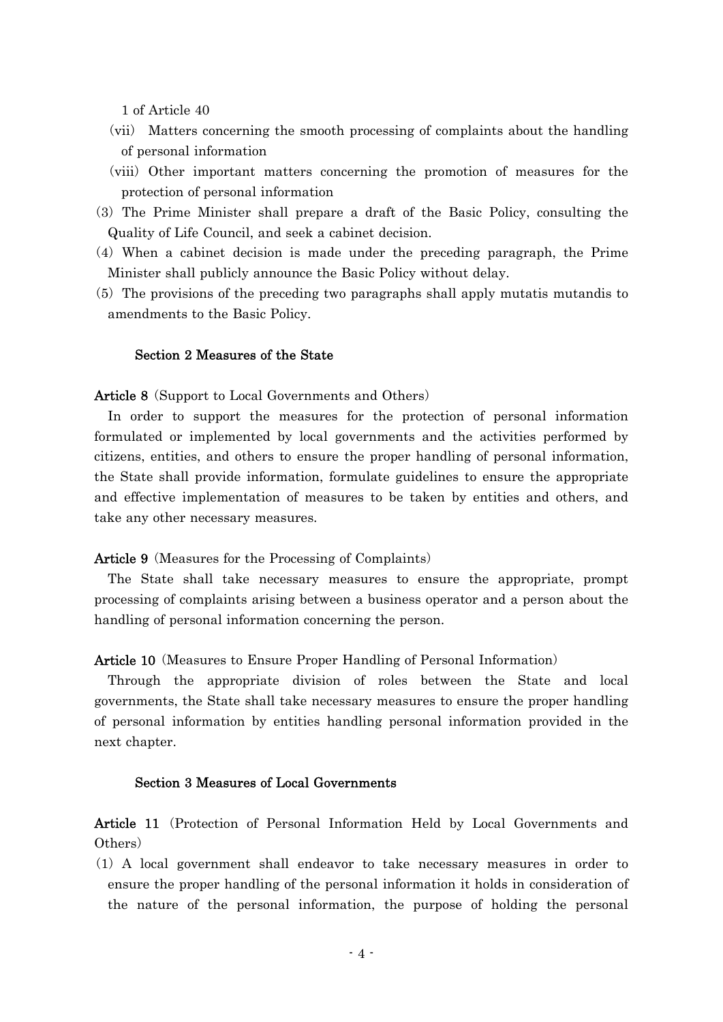1 of Article 40

- (vii) Matters concerning the smooth processing of complaints about the handling of personal information
- (viii) Other important matters concerning the promotion of measures for the protection of personal information
- ( )3 The Prime Minister shall prepare a draft of the Basic Policy, consulting the Quality of Life Council, and seek a cabinet decision.
- $(4)$  When a cabinet decision is made under the preceding paragraph, the Prime Minister shall publicly announce the Basic Policy without delay.
- (5) The provisions of the preceding two paragraphs shall apply mutatis mutandis to amendments to the Basic Policy.

#### Section 2 Measures of the State

### Article 8 (Support to Local Governments and Others)

In order to support the measures for the protection of personal information formulated or implemented by local governments and the activities performed by citizens, entities, and others to ensure the proper handling of personal information, the State shall provide information, formulate guidelines to ensure the appropriate and effective implementation of measures to be taken by entities and others, and take any other necessary measures.

**Article 9** (Measures for the Processing of Complaints)

The State shall take necessary measures to ensure the appropriate, prompt processing of complaints arising between a business operator and a person about the handling of personal information concerning the person.

#### **Article 10** (Measures to Ensure Proper Handling of Personal Information)

Through the appropriate division of roles between the State and local governments, the State shall take necessary measures to ensure the proper handling of personal information by entities handling personal information provided in the next chapter.

#### Section 3 Measures of Local Governments

Article 11 (Protection of Personal Information Held by Local Governments and Others)

( )1 A local government shall endeavor to take necessary measures in order to ensure the proper handling of the personal information it holds in consideration of the nature of the personal information, the purpose of holding the personal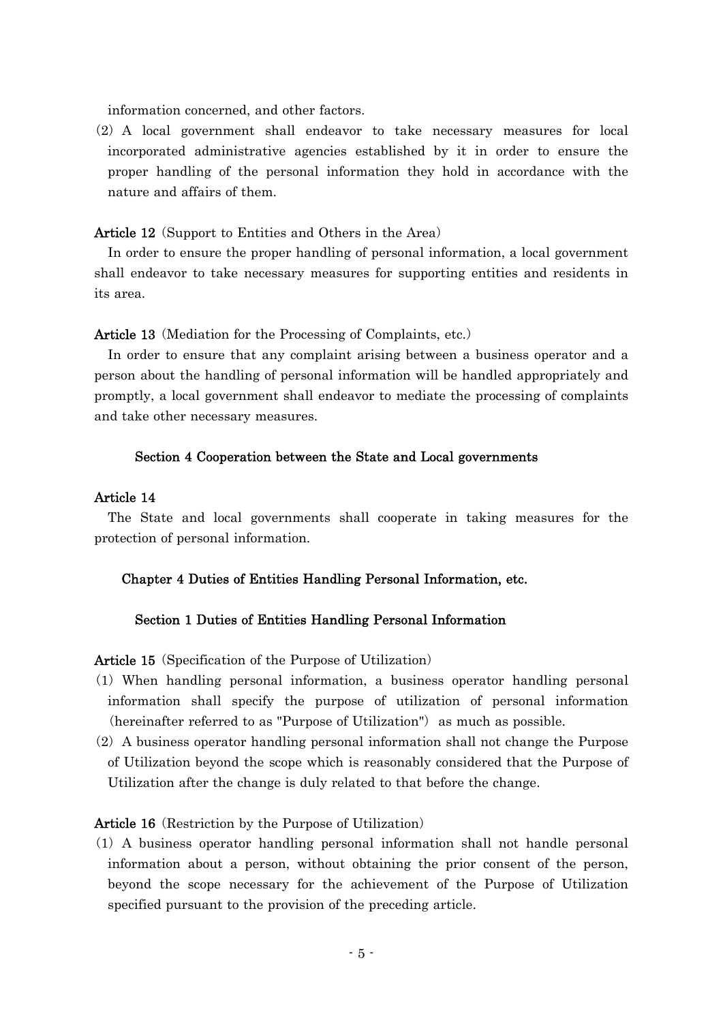information concerned, and other factors.

(2) A local government shall endeavor to take necessary measures for local incorporated administrative agencies established by it in order to ensure the proper handling of the personal information they hold in accordance with the nature and affairs of them.

Article 12 (Support to Entities and Others in the Area)

In order to ensure the proper handling of personal information, a local government shall endeavor to take necessary measures for supporting entities and residents in its area.

Article 13 (Mediation for the Processing of Complaints, etc.)

In order to ensure that any complaint arising between a business operator and a person about the handling of personal information will be handled appropriately and promptly, a local government shall endeavor to mediate the processing of complaints and take other necessary measures.

### Section 4 Cooperation between the State and Local governments

## Article 14

The State and local governments shall cooperate in taking measures for the protection of personal information.

#### Chapter 4 Duties of Entities Handling Personal Information, etc.

#### Section 1 Duties of Entities Handling Personal Information

**Article 15** (Specification of the Purpose of Utilization)

- ( )1 When handling personal information, a business operator handling personal information shall specify the purpose of utilization of personal information (hereinafter referred to as "Purpose of Utilization") as much as possible.
- $(2)$  A business operator handling personal information shall not change the Purpose of Utilization beyond the scope which is reasonably considered that the Purpose of Utilization after the change is duly related to that before the change.

#### **Article 16** (Restriction by the Purpose of Utilization)

( )1 A business operator handling personal information shall not handle personal information about a person, without obtaining the prior consent of the person, beyond the scope necessary for the achievement of the Purpose of Utilization specified pursuant to the provision of the preceding article.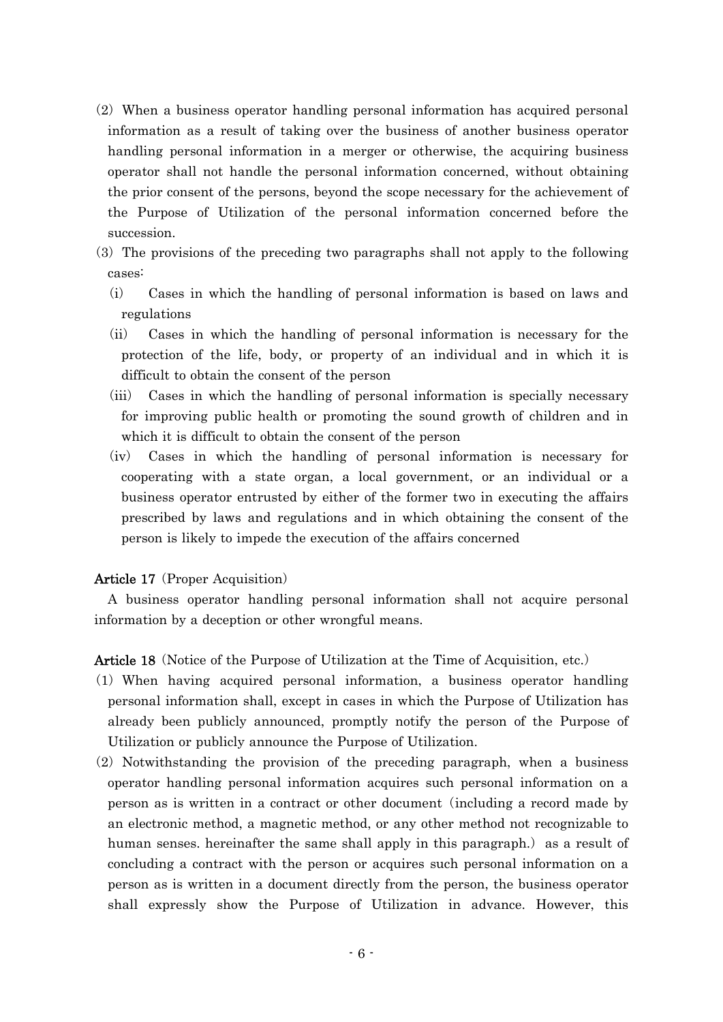- $(2)$  When a business operator handling personal information has acquired personal information as a result of taking over the business of another business operator handling personal information in a merger or otherwise, the acquiring business operator shall not handle the personal information concerned, without obtaining the prior consent of the persons, beyond the scope necessary for the achievement of the Purpose of Utilization of the personal information concerned before the succession.
- (3) The provisions of the preceding two paragraphs shall not apply to the following cases:
	- (i) Cases in which the handling of personal information is based on laws and regulations
	- (ii) Cases in which the handling of personal information is necessary for the protection of the life, body, or property of an individual and in which it is difficult to obtain the consent of the person
	- (iii) Cases in which the handling of personal information is specially necessary for improving public health or promoting the sound growth of children and in which it is difficult to obtain the consent of the person
	- (iv) Cases in which the handling of personal information is necessary for cooperating with a state organ, a local government, or an individual or a business operator entrusted by either of the former two in executing the affairs prescribed by laws and regulations and in which obtaining the consent of the person is likely to impede the execution of the affairs concerned

### **Article 17** (Proper Acquisition)

A business operator handling personal information shall not acquire personal information by a deception or other wrongful means.

**Article 18** (Notice of the Purpose of Utilization at the Time of Acquisition, etc.)

- ( )1 When having acquired personal information, a business operator handling personal information shall, except in cases in which the Purpose of Utilization has already been publicly announced, promptly notify the person of the Purpose of Utilization or publicly announce the Purpose of Utilization.
- $(2)$  Notwithstanding the provision of the preceding paragraph, when a business operator handling personal information acquires such personal information on a person as is written in a contract or other document including a record made by ( an electronic method, a magnetic method, or any other method not recognizable to human senses, hereinafter the same shall apply in this paragraph.) as a result of concluding a contract with the person or acquires such personal information on a person as is written in a document directly from the person, the business operator shall expressly show the Purpose of Utilization in advance. However, this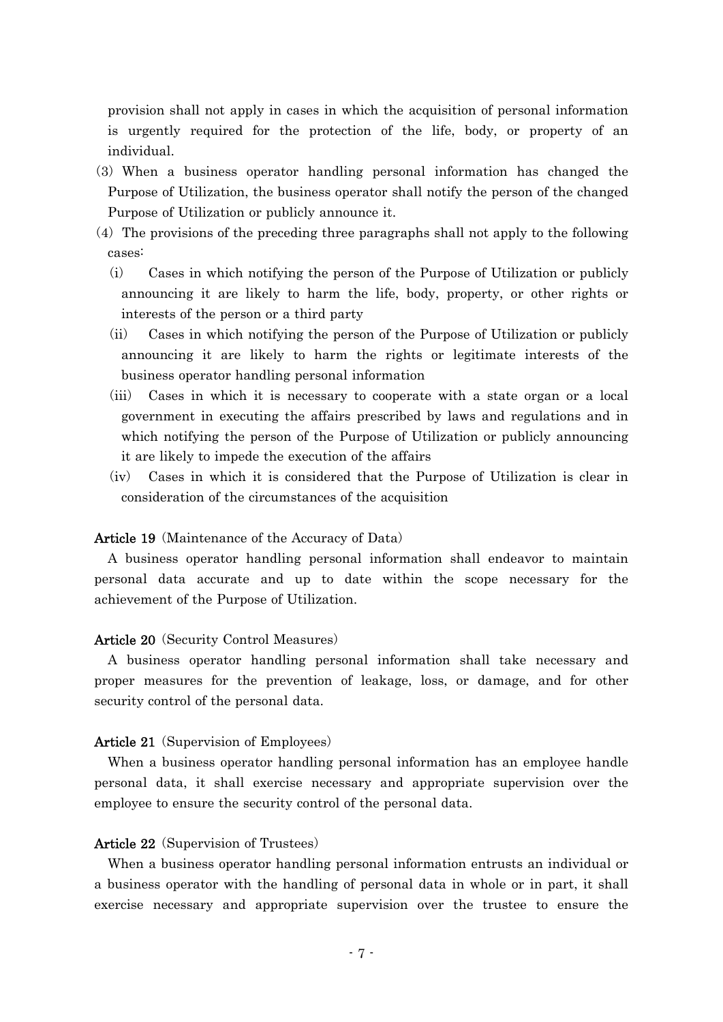provision shall not apply in cases in which the acquisition of personal information is urgently required for the protection of the life, body, or property of an individual.

- (3) When a business operator handling personal information has changed the Purpose of Utilization, the business operator shall notify the person of the changed Purpose of Utilization or publicly announce it.
- $(4)$  The provisions of the preceding three paragraphs shall not apply to the following cases:
	- $(i)$  Cases in which notifying the person of the Purpose of Utilization or publicly announcing it are likely to harm the life, body, property, or other rights or interests of the person or a third party
	- $(iii)$  Cases in which notifying the person of the Purpose of Utilization or publicly announcing it are likely to harm the rights or legitimate interests of the business operator handling personal information
	- (iii) Cases in which it is necessary to cooperate with a state organ or a local government in executing the affairs prescribed by laws and regulations and in which notifying the person of the Purpose of Utilization or publicly announcing it are likely to impede the execution of the affairs
	- $(iv)$  Cases in which it is considered that the Purpose of Utilization is clear in consideration of the circumstances of the acquisition

### Article 19 (Maintenance of the Accuracy of Data)

A business operator handling personal information shall endeavor to maintain personal data accurate and up to date within the scope necessary for the achievement of the Purpose of Utilization.

#### Article 20 (Security Control Measures)

A business operator handling personal information shall take necessary and proper measures for the prevention of leakage, loss, or damage, and for other security control of the personal data.

#### Article 21 (Supervision of Employees)

When a business operator handling personal information has an employee handle personal data, it shall exercise necessary and appropriate supervision over the employee to ensure the security control of the personal data.

#### **Article 22** (Supervision of Trustees)

When a business operator handling personal information entrusts an individual or a business operator with the handling of personal data in whole or in part, it shall exercise necessary and appropriate supervision over the trustee to ensure the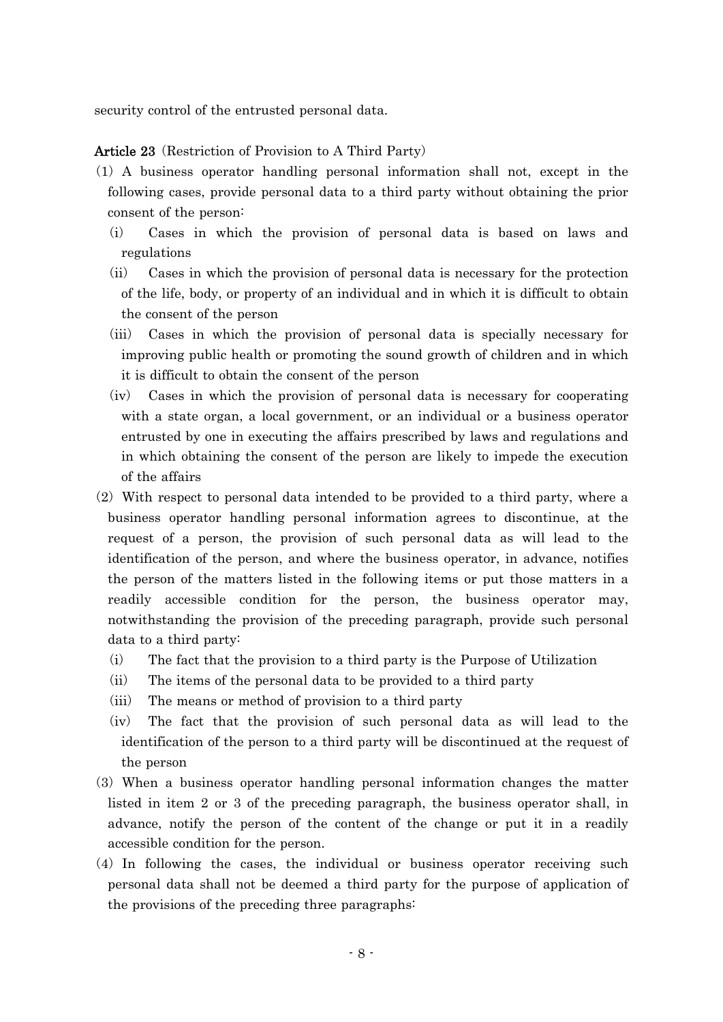security control of the entrusted personal data.

### Article 23 (Restriction of Provision to A Third Party)

- ( )1 A business operator handling personal information shall not, except in the following cases, provide personal data to a third party without obtaining the prior consent of the person:
	- (i) Cases in which the provision of personal data is based on laws and regulations
	- $(i)$  Cases in which the provision of personal data is necessary for the protection of the life, body, or property of an individual and in which it is difficult to obtain the consent of the person
	- (iii) Cases in which the provision of personal data is specially necessary for improving public health or promoting the sound growth of children and in which it is difficult to obtain the consent of the person
	- (iv) Cases in which the provision of personal data is necessary for cooperating with a state organ, a local government, or an individual or a business operator entrusted by one in executing the affairs prescribed by laws and regulations and in which obtaining the consent of the person are likely to impede the execution of the affairs
- $(2)$  With respect to personal data intended to be provided to a third party, where a business operator handling personal information agrees to discontinue, at the request of a person, the provision of such personal data as will lead to the identification of the person, and where the business operator, in advance, notifies the person of the matters listed in the following items or put those matters in a readily accessible condition for the person, the business operator may, notwithstanding the provision of the preceding paragraph, provide such personal data to a third party:
	- $(i)$  The fact that the provision to a third party is the Purpose of Utilization
	- $(ii)$  The items of the personal data to be provided to a third party
	- $(iii)$  The means or method of provision to a third party
	- $(iv)$  The fact that the provision of such personal data as will lead to the identification of the person to a third party will be discontinued at the request of the person
- ( )3 When a business operator handling personal information changes the matter listed in item 2 or 3 of the preceding paragraph, the business operator shall, in advance, notify the person of the content of the change or put it in a readily accessible condition for the person.
- $(4)$  In following the cases, the individual or business operator receiving such personal data shall not be deemed a third party for the purpose of application of the provisions of the preceding three paragraphs: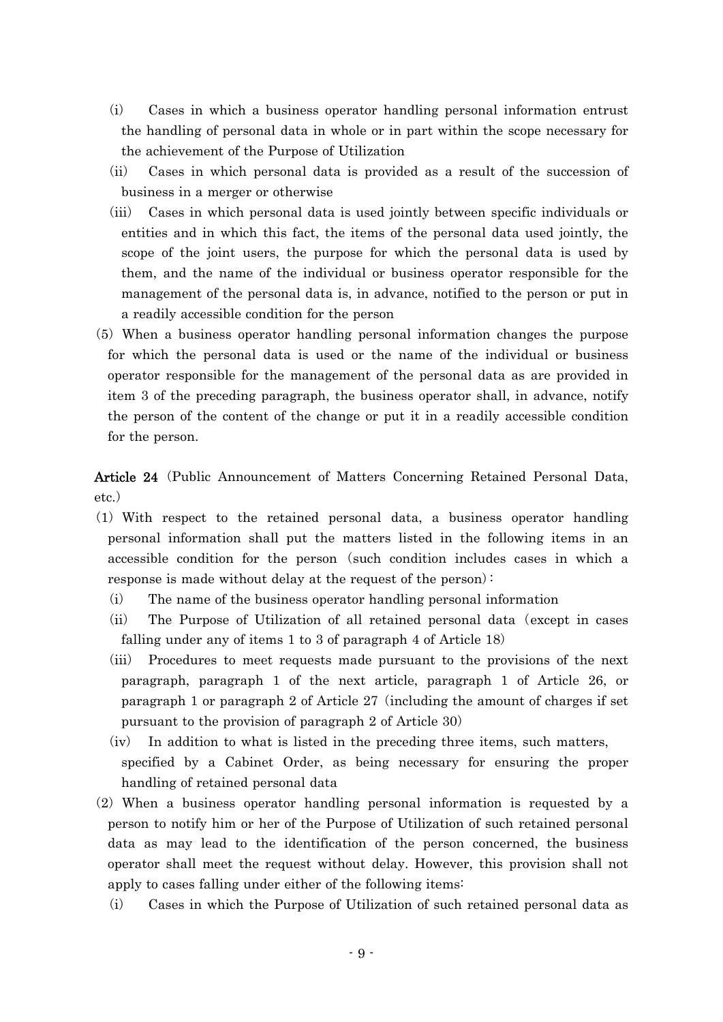- $(i)$  Cases in which a business operator handling personal information entrust the handling of personal data in whole or in part within the scope necessary for the achievement of the Purpose of Utilization
- (ii) Cases in which personal data is provided as a result of the succession of business in a merger or otherwise
- (iii) Cases in which personal data is used jointly between specific individuals or entities and in which this fact, the items of the personal data used jointly, the scope of the joint users, the purpose for which the personal data is used by them, and the name of the individual or business operator responsible for the management of the personal data is, in advance, notified to the person or put in a readily accessible condition for the person
- (5) When a business operator handling personal information changes the purpose for which the personal data is used or the name of the individual or business operator responsible for the management of the personal data as are provided in item 3 of the preceding paragraph, the business operator shall, in advance, notify the person of the content of the change or put it in a readily accessible condition for the person.

Article 24 (Public Announcement of Matters Concerning Retained Personal Data, etc.)

- ( )1 With respect to the retained personal data, a business operator handling personal information shall put the matters listed in the following items in an accessible condition for the person (such condition includes cases in which a response is made without delay at the request of the person):
	- $(i)$  The name of the business operator handling personal information
	- $(iii)$  The Purpose of Utilization of all retained personal data (except in cases falling under any of items 1 to 3 of paragraph 4 of Article 18)
	- (iii) Procedures to meet requests made pursuant to the provisions of the next paragraph, paragraph 1 of the next article, paragraph 1 of Article 26, or paragraph 1 or paragraph 2 of Article  $27$  (including the amount of charges if set pursuant to the provision of paragraph 2 of Article 30)
	- $(iv)$  In addition to what is listed in the preceding three items, such matters, specified by a Cabinet Order, as being necessary for ensuring the proper handling of retained personal data
- $(2)$  When a business operator handling personal information is requested by a person to notify him or her of the Purpose of Utilization of such retained personal data as may lead to the identification of the person concerned, the business operator shall meet the request without delay. However, this provision shall not apply to cases falling under either of the following items:
	- $(i)$  Cases in which the Purpose of Utilization of such retained personal data as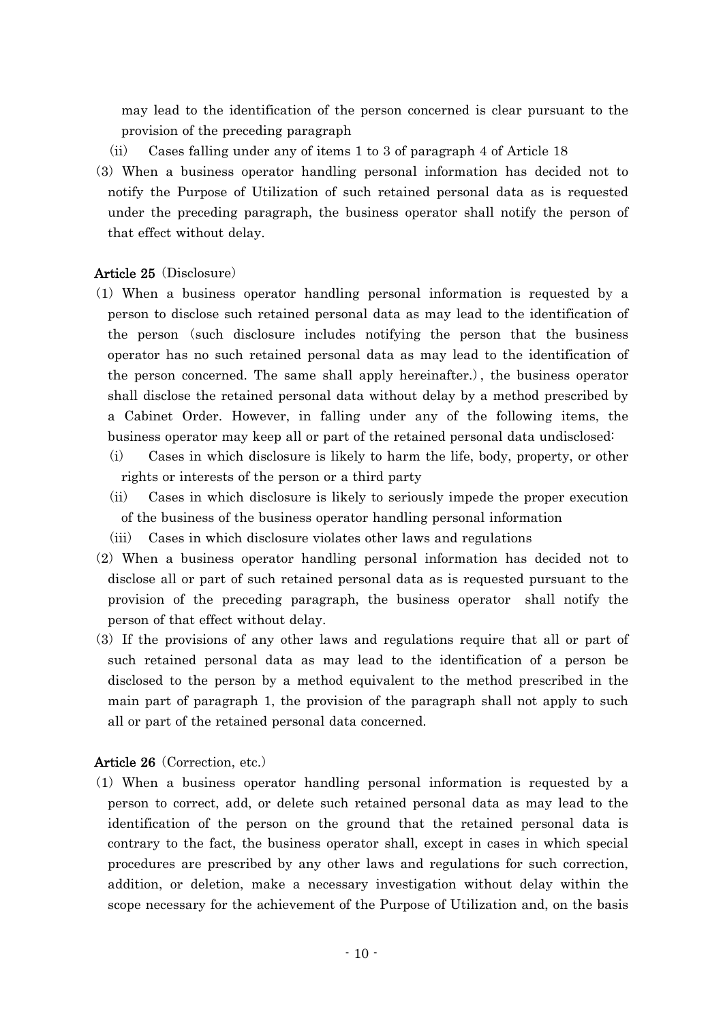may lead to the identification of the person concerned is clear pursuant to the provision of the preceding paragraph

- $(iii)$  Cases falling under any of items 1 to 3 of paragraph 4 of Article 18
- (3) When a business operator handling personal information has decided not to notify the Purpose of Utilization of such retained personal data as is requested under the preceding paragraph, the business operator shall notify the person of that effect without delay.

## Article 25 (Disclosure)

- ( )1 When a business operator handling personal information is requested by a person to disclose such retained personal data as may lead to the identification of the person (such disclosure includes notifying the person that the business operator has no such retained personal data as may lead to the identification of the person concerned. The same shall apply hereinafter.), the business operator shall disclose the retained personal data without delay by a method prescribed by a Cabinet Order. However, in falling under any of the following items, the business operator may keep all or part of the retained personal data undisclosed:
	- (i) Cases in which disclosure is likely to harm the life, body, property, or other rights or interests of the person or a third party
	- (ii) Cases in which disclosure is likely to seriously impede the proper execution of the business of the business operator handling personal information
	- $(iii)$  Cases in which disclosure violates other laws and regulations
- $(2)$  When a business operator handling personal information has decided not to disclose all or part of such retained personal data as is requested pursuant to the provision of the preceding paragraph, the business operator shall notify the person of that effect without delay.
- ( )3 If the provisions of any other laws and regulations require that all or part of such retained personal data as may lead to the identification of a person be disclosed to the person by a method equivalent to the method prescribed in the main part of paragraph 1, the provision of the paragraph shall not apply to such all or part of the retained personal data concerned.

## Article 26 (Correction, etc.)

( )1 When a business operator handling personal information is requested by a person to correct, add, or delete such retained personal data as may lead to the identification of the person on the ground that the retained personal data is contrary to the fact, the business operator shall, except in cases in which special procedures are prescribed by any other laws and regulations for such correction, addition, or deletion, make a necessary investigation without delay within the scope necessary for the achievement of the Purpose of Utilization and, on the basis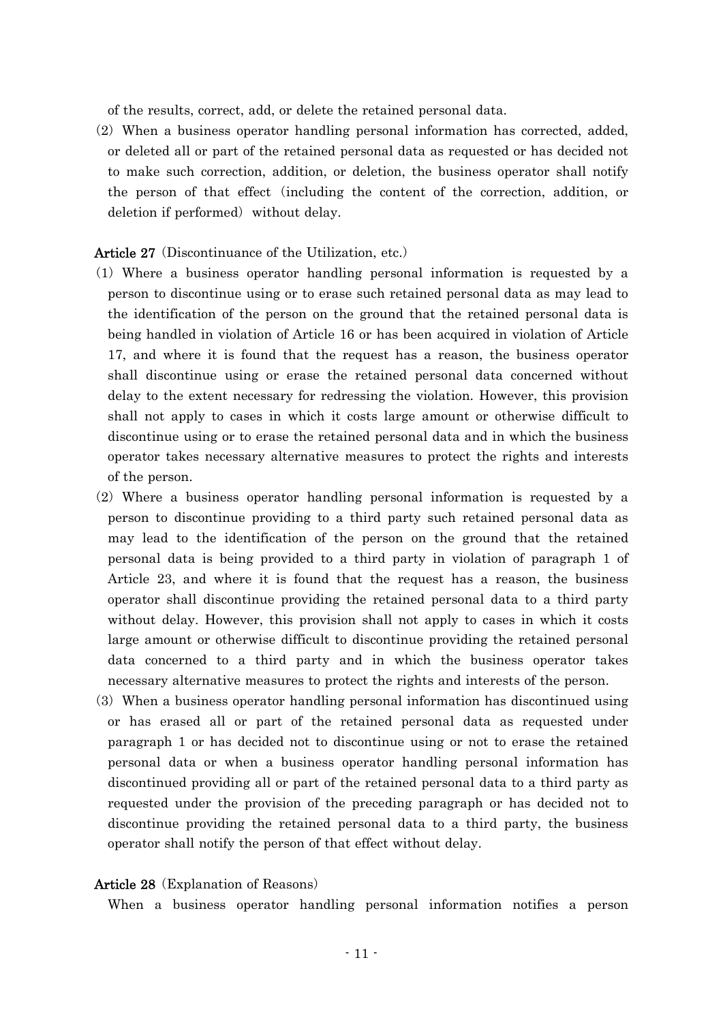of the results, correct, add, or delete the retained personal data.

 $(2)$  When a business operator handling personal information has corrected, added, or deleted all or part of the retained personal data as requested or has decided not to make such correction, addition, or deletion, the business operator shall notify the person of that effect including the content of the correction, addition, or ( deletion if performed) without delay.

#### Article 27 (Discontinuance of the Utilization, etc.)

- ( )1 Where a business operator handling personal information is requested by a person to discontinue using or to erase such retained personal data as may lead to the identification of the person on the ground that the retained personal data is being handled in violation of Article 16 or has been acquired in violation of Article 17, and where it is found that the request has a reason, the business operator shall discontinue using or erase the retained personal data concerned without delay to the extent necessary for redressing the violation. However, this provision shall not apply to cases in which it costs large amount or otherwise difficult to discontinue using or to erase the retained personal data and in which the business operator takes necessary alternative measures to protect the rights and interests of the person.
- $(2)$  Where a business operator handling personal information is requested by a person to discontinue providing to a third party such retained personal data as may lead to the identification of the person on the ground that the retained personal data is being provided to a third party in violation of paragraph 1 of Article 23, and where it is found that the request has a reason, the business operator shall discontinue providing the retained personal data to a third party without delay. However, this provision shall not apply to cases in which it costs large amount or otherwise difficult to discontinue providing the retained personal data concerned to a third party and in which the business operator takes necessary alternative measures to protect the rights and interests of the person.
- ( )3 When a business operator handling personal information has discontinued using or has erased all or part of the retained personal data as requested under paragraph 1 or has decided not to discontinue using or not to erase the retained personal data or when a business operator handling personal information has discontinued providing all or part of the retained personal data to a third party as requested under the provision of the preceding paragraph or has decided not to discontinue providing the retained personal data to a third party, the business operator shall notify the person of that effect without delay.

#### Article 28 (Explanation of Reasons)

When a business operator handling personal information notifies a person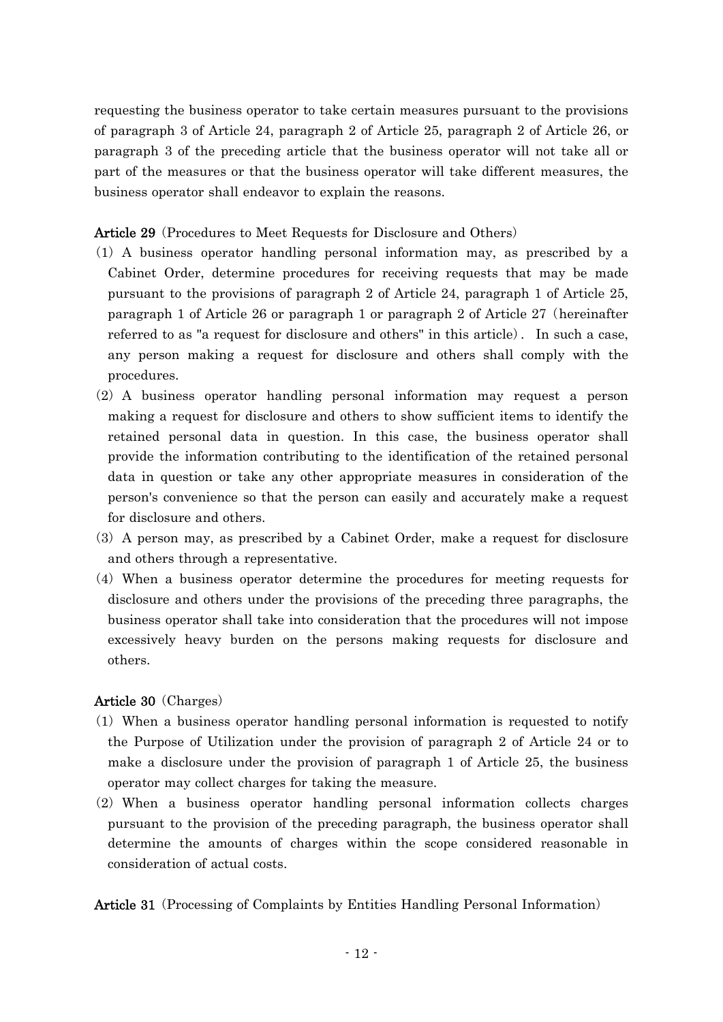requesting the business operator to take certain measures pursuant to the provisions of paragraph 3 of Article 24, paragraph 2 of Article 25, paragraph 2 of Article 26, or paragraph 3 of the preceding article that the business operator will not take all or part of the measures or that the business operator will take different measures, the business operator shall endeavor to explain the reasons.

Article 29 (Procedures to Meet Requests for Disclosure and Others)

- ( )1 A business operator handling personal information may, as prescribed by a Cabinet Order, determine procedures for receiving requests that may be made pursuant to the provisions of paragraph 2 of Article 24, paragraph 1 of Article 25, paragraph 1 of Article 26 or paragraph 1 or paragraph 2 of Article  $27$  (hereinafter referred to as "a request for disclosure and others" in this article. In such a case, any person making a request for disclosure and others shall comply with the procedures.
- (2) A business operator handling personal information may request a person making a request for disclosure and others to show sufficient items to identify the retained personal data in question. In this case, the business operator shall provide the information contributing to the identification of the retained personal data in question or take any other appropriate measures in consideration of the person's convenience so that the person can easily and accurately make a request for disclosure and others.
- $(3)$  A person may, as prescribed by a Cabinet Order, make a request for disclosure and others through a representative.
- $(4)$  When a business operator determine the procedures for meeting requests for disclosure and others under the provisions of the preceding three paragraphs, the business operator shall take into consideration that the procedures will not impose excessively heavy burden on the persons making requests for disclosure and others.

## Article 30 (Charges)

- ( )1 When a business operator handling personal information is requested to notify the Purpose of Utilization under the provision of paragraph 2 of Article 24 or to make a disclosure under the provision of paragraph 1 of Article 25, the business operator may collect charges for taking the measure.
- $(2)$  When a business operator handling personal information collects charges pursuant to the provision of the preceding paragraph, the business operator shall determine the amounts of charges within the scope considered reasonable in consideration of actual costs.

Article 31 (Processing of Complaints by Entities Handling Personal Information)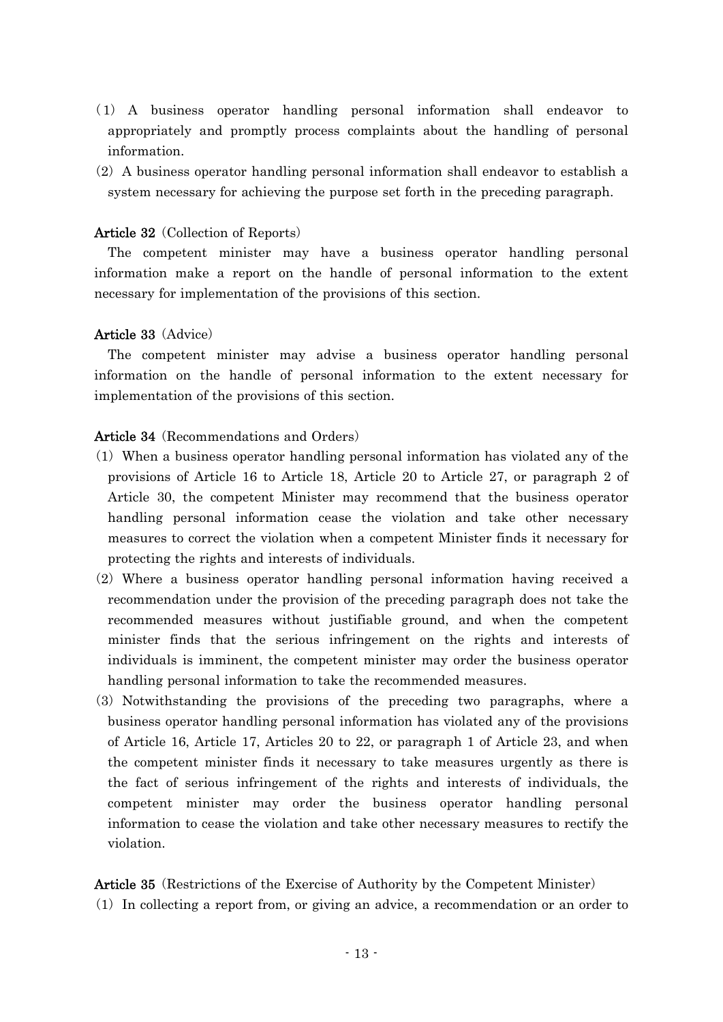- ( )1 A business operator handling personal information shall endeavor to appropriately and promptly process complaints about the handling of personal information.
- $(2)$  A business operator handling personal information shall endeavor to establish a system necessary for achieving the purpose set forth in the preceding paragraph.

### Article 32 (Collection of Reports)

The competent minister may have a business operator handling personal information make a report on the handle of personal information to the extent necessary for implementation of the provisions of this section.

### Article 33 (Advice)

The competent minister may advise a business operator handling personal information on the handle of personal information to the extent necessary for implementation of the provisions of this section.

### Article 34 (Recommendations and Orders)

- ( )1 When a business operator handling personal information has violated any of the provisions of Article 16 to Article 18, Article 20 to Article 27, or paragraph 2 of Article 30, the competent Minister may recommend that the business operator handling personal information cease the violation and take other necessary measures to correct the violation when a competent Minister finds it necessary for protecting the rights and interests of individuals.
- $(2)$  Where a business operator handling personal information having received a recommendation under the provision of the preceding paragraph does not take the recommended measures without justifiable ground, and when the competent minister finds that the serious infringement on the rights and interests of individuals is imminent, the competent minister may order the business operator handling personal information to take the recommended measures.
- (3) Notwithstanding the provisions of the preceding two paragraphs, where a business operator handling personal information has violated any of the provisions of Article 16, Article 17, Articles 20 to 22, or paragraph 1 of Article 23, and when the competent minister finds it necessary to take measures urgently as there is the fact of serious infringement of the rights and interests of individuals, the competent minister may order the business operator handling personal information to cease the violation and take other necessary measures to rectify the violation.

Article 35 (Restrictions of the Exercise of Authority by the Competent Minister) ( )1 In collecting a report from, or giving an advice, a recommendation or an order to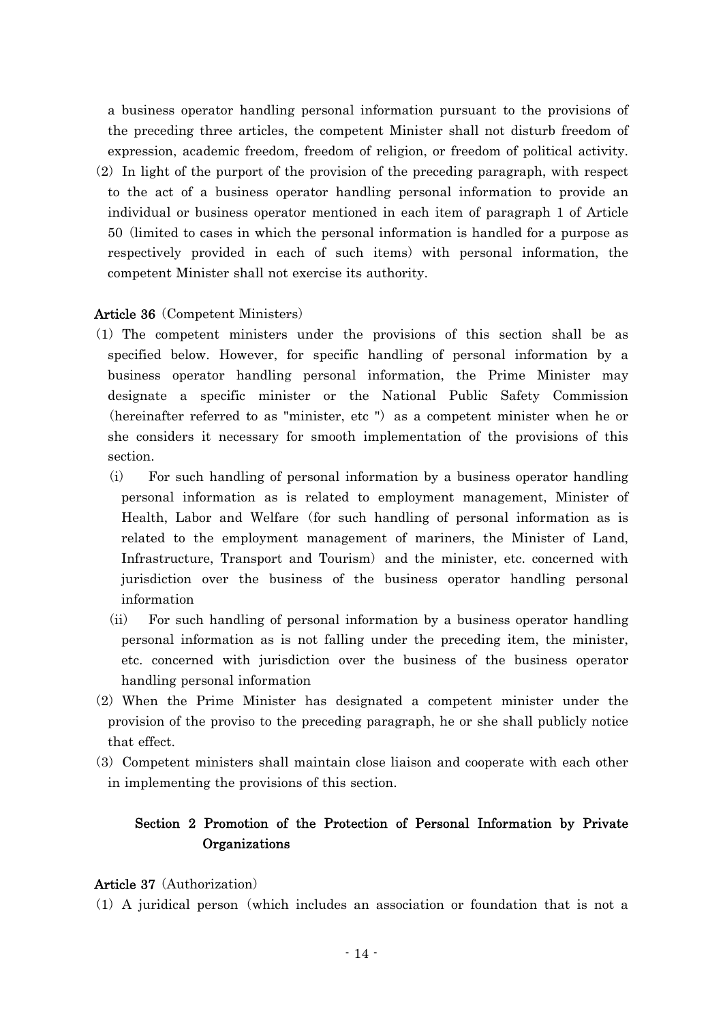a business operator handling personal information pursuant to the provisions of the preceding three articles, the competent Minister shall not disturb freedom of expression, academic freedom, freedom of religion, or freedom of political activity.  $(2)$  In light of the purport of the provision of the preceding paragraph, with respect to the act of a business operator handling personal information to provide an individual or business operator mentioned in each item of paragraph 1 of Article 50 (limited to cases in which the personal information is handled for a purpose as respectively provided in each of such items) with personal information, the competent Minister shall not exercise its authority.

## Article 36 (Competent Ministers)

- ( )1 The competent ministers under the provisions of this section shall be as specified below. However, for specific handling of personal information by a business operator handling personal information, the Prime Minister may designate a specific minister or the National Public Safety Commission (hereinafter referred to as "minister, etc ") as a competent minister when he or she considers it necessary for smooth implementation of the provisions of this section.
	- (i) For such handling of personal information by a business operator handling personal information as is related to employment management, Minister of Health, Labor and Welfare (for such handling of personal information as is related to the employment management of mariners, the Minister of Land, Infrastructure, Transport and Tourism) and the minister, etc. concerned with jurisdiction over the business of the business operator handling personal information
	- $(i)$  For such handling of personal information by a business operator handling personal information as is not falling under the preceding item, the minister, etc. concerned with jurisdiction over the business of the business operator handling personal information
- $(2)$  When the Prime Minister has designated a competent minister under the provision of the proviso to the preceding paragraph, he or she shall publicly notice that effect.
- ( )3 Competent ministers shall maintain close liaison and cooperate with each other in implementing the provisions of this section.

## Section 2 Promotion of the Protection of Personal Information by Private **Organizations**

### Article 37 (Authorization)

 $(1)$  A juridical person (which includes an association or foundation that is not a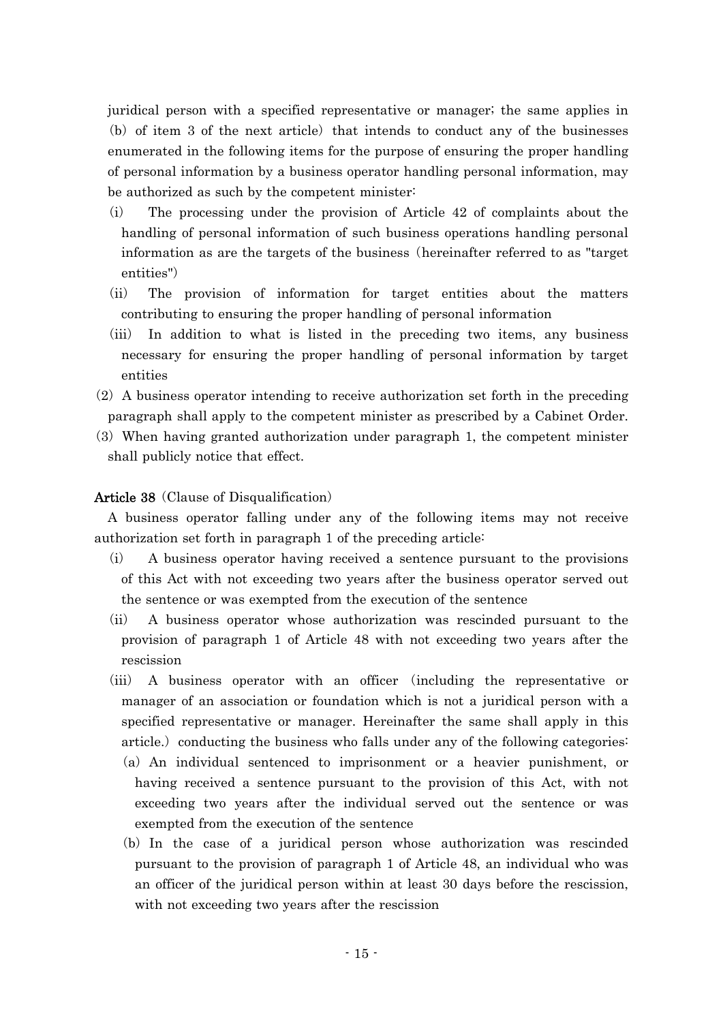juridical person with a specified representative or manager; the same applies in  $(b)$  of item 3 of the next article) that intends to conduct any of the businesses enumerated in the following items for the purpose of ensuring the proper handling of personal information by a business operator handling personal information, may be authorized as such by the competent minister:

- $(i)$  The processing under the provision of Article 42 of complaints about the handling of personal information of such business operations handling personal information as are the targets of the business (hereinafter referred to as "target") entities")
- (ii) The provision of information for target entities about the matters contributing to ensuring the proper handling of personal information
- (iii) In addition to what is listed in the preceding two items, any business necessary for ensuring the proper handling of personal information by target entities
- $(2)$  A business operator intending to receive authorization set forth in the preceding paragraph shall apply to the competent minister as prescribed by a Cabinet Order.
- (3) When having granted authorization under paragraph 1, the competent minister shall publicly notice that effect.

### Article 38 (Clause of Disqualification)

A business operator falling under any of the following items may not receive authorization set forth in paragraph 1 of the preceding article:

- (i) A business operator having received a sentence pursuant to the provisions of this Act with not exceeding two years after the business operator served out the sentence or was exempted from the execution of the sentence
- $(i)$  A business operator whose authorization was rescinded pursuant to the provision of paragraph 1 of Article 48 with not exceeding two years after the rescission
- (iii) A business operator with an officer (including the representative or manager of an association or foundation which is not a juridical person with a specified representative or manager. Hereinafter the same shall apply in this article.) conducting the business who falls under any of the following categories:
	- $(a)$  An individual sentenced to imprisonment or a heavier punishment, or having received a sentence pursuant to the provision of this Act, with not exceeding two years after the individual served out the sentence or was exempted from the execution of the sentence
	- (b) In the case of a juridical person whose authorization was rescinded pursuant to the provision of paragraph 1 of Article 48, an individual who was an officer of the juridical person within at least 30 days before the rescission, with not exceeding two years after the rescission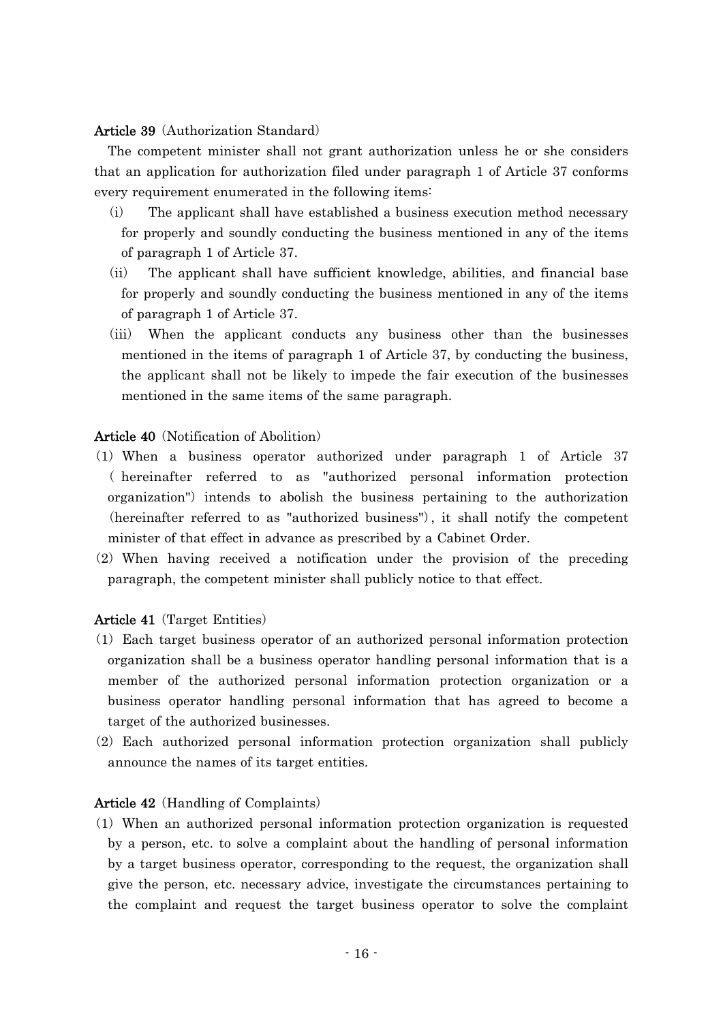## Article 39 (Authorization Standard)

The competent minister shall not grant authorization unless he or she considers that an application for authorization filed under paragraph 1 of Article 37 conforms every requirement enumerated in the following items:

- $(i)$  The applicant shall have established a business execution method necessary for properly and soundly conducting the business mentioned in any of the items of paragraph 1 of Article 37.
- (ii) The applicant shall have sufficient knowledge, abilities, and financial base for properly and soundly conducting the business mentioned in any of the items of paragraph 1 of Article 37.
- (iii) When the applicant conducts any business other than the businesses mentioned in the items of paragraph 1 of Article 37, by conducting the business, the applicant shall not be likely to impede the fair execution of the businesses mentioned in the same items of the same paragraph.

## Article 40 (Notification of Abolition)

- (1) When a business operator authorized under paragraph 1 of Article 37 ( hereinafter referred to as "authorized personal information protection organization") intends to abolish the business pertaining to the authorization (hereinafter referred to as "authorized business"), it shall notify the competent minister of that effect in advance as prescribed by a Cabinet Order.
- $(2)$  When having received a notification under the provision of the preceding paragraph, the competent minister shall publicly notice to that effect.

### **Article 41** (Target Entities)

- ( )1 Each target business operator of an authorized personal information protection organization shall be a business operator handling personal information that is a member of the authorized personal information protection organization or a business operator handling personal information that has agreed to become a target of the authorized businesses.
- $(2)$  Each authorized personal information protection organization shall publicly announce the names of its target entities.

### Article 42 (Handling of Complaints)

( )1 When an authorized personal information protection organization is requested by a person, etc. to solve a complaint about the handling of personal information by a target business operator, corresponding to the request, the organization shall give the person, etc. necessary advice, investigate the circumstances pertaining to the complaint and request the target business operator to solve the complaint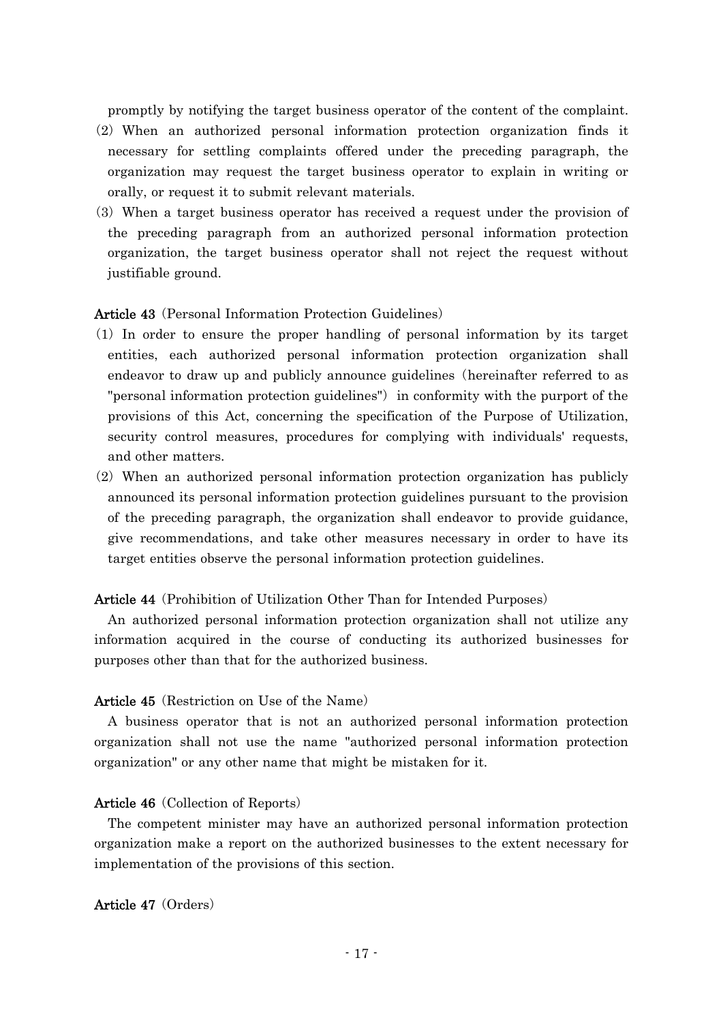promptly by notifying the target business operator of the content of the complaint.

- $(2)$  When an authorized personal information protection organization finds it necessary for settling complaints offered under the preceding paragraph, the organization may request the target business operator to explain in writing or orally, or request it to submit relevant materials.
- ( )3 When a target business operator has received a request under the provision of the preceding paragraph from an authorized personal information protection organization, the target business operator shall not reject the request without justifiable ground.

### Article 43 (Personal Information Protection Guidelines)

- ( )1 In order to ensure the proper handling of personal information by its target entities, each authorized personal information protection organization shall endeavor to draw up and publicly announce guidelines (hereinafter referred to as "personal information protection guidelines") in conformity with the purport of the provisions of this Act, concerning the specification of the Purpose of Utilization, security control measures, procedures for complying with individuals' requests, and other matters.
- (2) When an authorized personal information protection organization has publicly announced its personal information protection guidelines pursuant to the provision of the preceding paragraph, the organization shall endeavor to provide guidance, give recommendations, and take other measures necessary in order to have its target entities observe the personal information protection guidelines.

#### **Article 44** (Prohibition of Utilization Other Than for Intended Purposes)

An authorized personal information protection organization shall not utilize any information acquired in the course of conducting its authorized businesses for purposes other than that for the authorized business.

### Article 45 (Restriction on Use of the Name)

A business operator that is not an authorized personal information protection organization shall not use the name "authorized personal information protection organization" or any other name that might be mistaken for it.

#### Article 46 (Collection of Reports)

The competent minister may have an authorized personal information protection organization make a report on the authorized businesses to the extent necessary for implementation of the provisions of this section.

## Article 47 (Orders)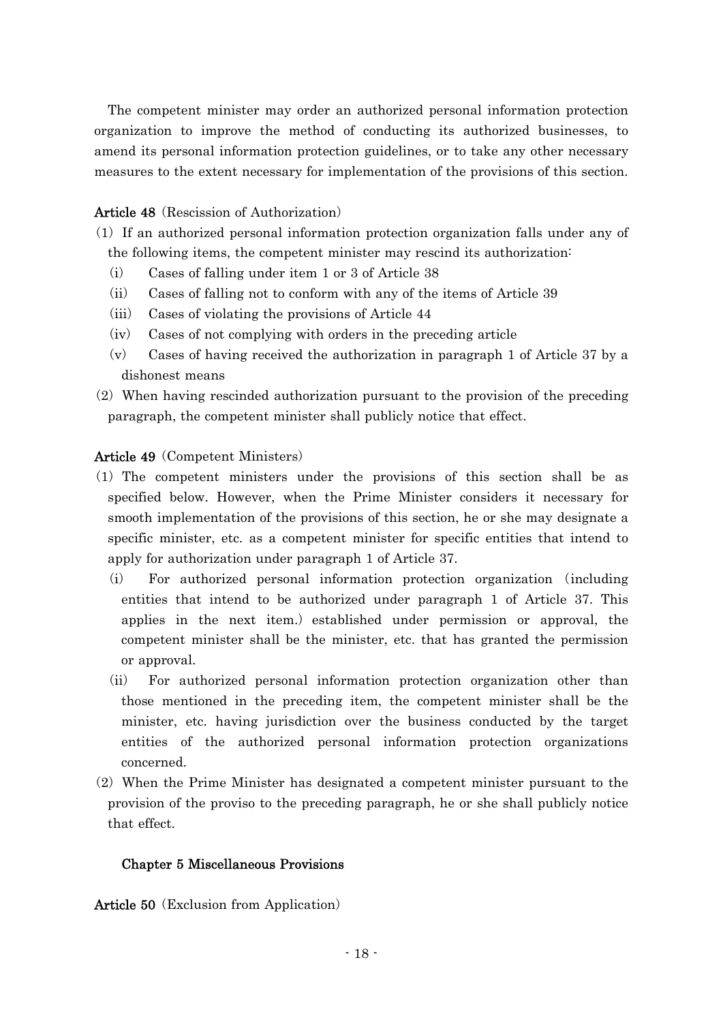The competent minister may order an authorized personal information protection organization to improve the method of conducting its authorized businesses, to amend its personal information protection guidelines, or to take any other necessary measures to the extent necessary for implementation of the provisions of this section.

## Article 48 (Rescission of Authorization)

- ( )1 If an authorized personal information protection organization falls under any of the following items, the competent minister may rescind its authorization:
	- $(i)$  Cases of falling under item 1 or 3 of Article 38
	- $(iii)$  Cases of falling not to conform with any of the items of Article 39
	- $(iii)$  Cases of violating the provisions of Article 44
	- $(iv)$  Cases of not complying with orders in the preceding article
	- $(v)$  Cases of having received the authorization in paragraph 1 of Article 37 by a dishonest means
- $(2)$  When having rescinded authorization pursuant to the provision of the preceding paragraph, the competent minister shall publicly notice that effect.

## Article 49 (Competent Ministers)

- ( )1 The competent ministers under the provisions of this section shall be as specified below. However, when the Prime Minister considers it necessary for smooth implementation of the provisions of this section, he or she may designate a specific minister, etc. as a competent minister for specific entities that intend to apply for authorization under paragraph 1 of Article 37.
	- (i) For authorized personal information protection organization (including entities that intend to be authorized under paragraph 1 of Article 37. This applies in the next item.) established under permission or approval, the competent minister shall be the minister, etc. that has granted the permission or approval.
	- (ii) For authorized personal information protection organization other than those mentioned in the preceding item, the competent minister shall be the minister, etc. having jurisdiction over the business conducted by the target entities of the authorized personal information protection organizations concerned.
- $(2)$  When the Prime Minister has designated a competent minister pursuant to the provision of the proviso to the preceding paragraph, he or she shall publicly notice that effect.

## Chapter 5 Miscellaneous Provisions

Article 50 (Exclusion from Application)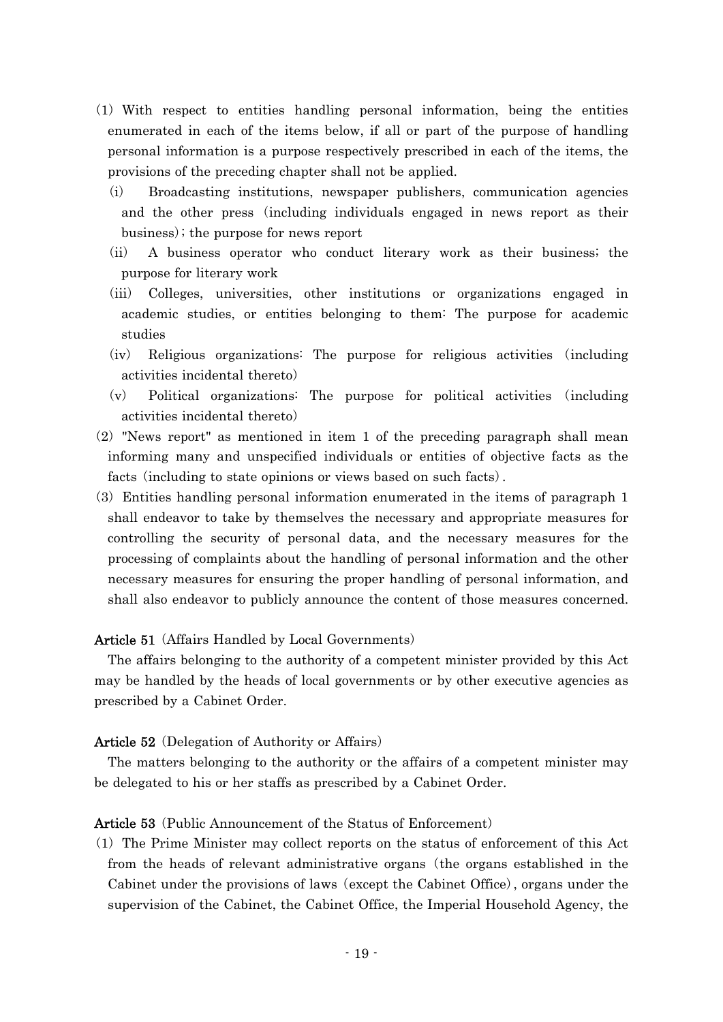- ( )1 With respect to entities handling personal information, being the entities enumerated in each of the items below, if all or part of the purpose of handling personal information is a purpose respectively prescribed in each of the items, the provisions of the preceding chapter shall not be applied.
	- (i) Broadcasting institutions, newspaper publishers, communication agencies and the other press (including individuals engaged in news report as their business); the purpose for news report
	- (ii) A business operator who conduct literary work as their business; the purpose for literary work
	- (iii) Colleges, universities, other institutions or organizations engaged in academic studies, or entities belonging to them: The purpose for academic studies
	- $(iv)$  Religious organizations: The purpose for religious activities (including activities incidental thereto)
	- $(v)$  Political organizations: The purpose for political activities (including activities incidental thereto)
- $(2)$  "News report" as mentioned in item 1 of the preceding paragraph shall mean informing many and unspecified individuals or entities of objective facts as the facts (including to state opinions or views based on such facts).
- (3) Entities handling personal information enumerated in the items of paragraph 1 shall endeavor to take by themselves the necessary and appropriate measures for controlling the security of personal data, and the necessary measures for the processing of complaints about the handling of personal information and the other necessary measures for ensuring the proper handling of personal information, and shall also endeavor to publicly announce the content of those measures concerned.

### **Article 51** (Affairs Handled by Local Governments)

The affairs belonging to the authority of a competent minister provided by this Act may be handled by the heads of local governments or by other executive agencies as prescribed by a Cabinet Order.

#### Article 52 (Delegation of Authority or Affairs)

The matters belonging to the authority or the affairs of a competent minister may be delegated to his or her staffs as prescribed by a Cabinet Order.

## Article 53 (Public Announcement of the Status of Enforcement)

 $(1)$  The Prime Minister may collect reports on the status of enforcement of this Act from the heads of relevant administrative organs (the organs established in the Cabinet under the provisions of laws (except the Cabinet Office), organs under the supervision of the Cabinet, the Cabinet Office, the Imperial Household Agency, the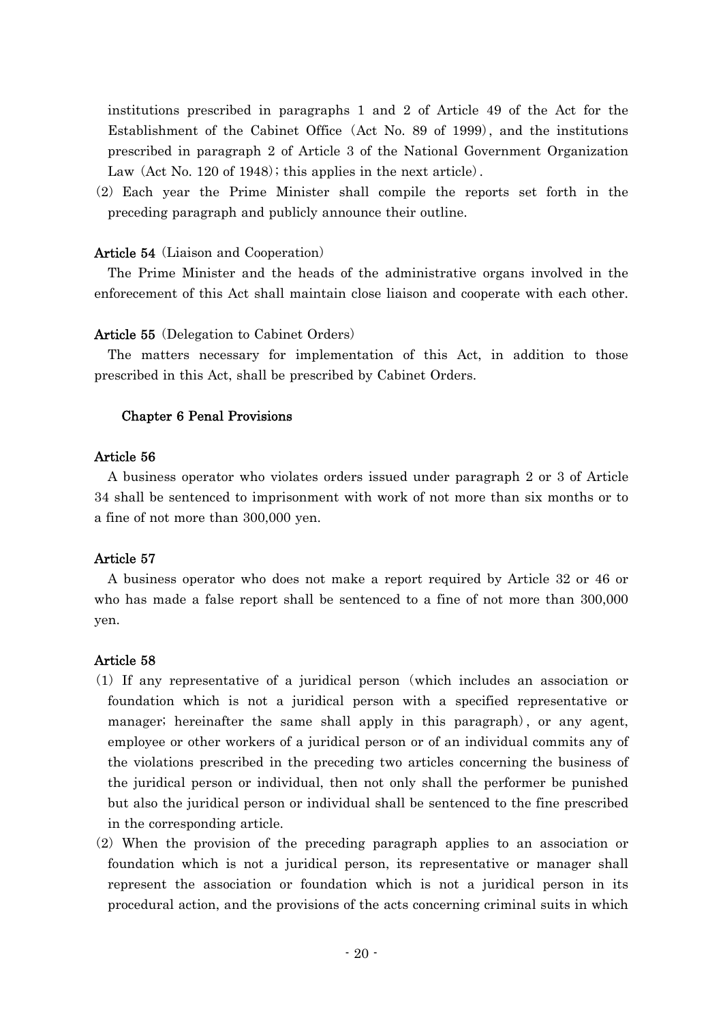institutions prescribed in paragraphs 1 and 2 of Article 49 of the Act for the Establishment of the Cabinet Office (Act No. 89 of 1999), and the institutions prescribed in paragraph 2 of Article 3 of the National Government Organization Law  $(Act No. 120 of 1948)$ ; this applies in the next article).

 $(2)$  Each year the Prime Minister shall compile the reports set forth in the preceding paragraph and publicly announce their outline.

## Article 54 (Liaison and Cooperation)

The Prime Minister and the heads of the administrative organs involved in the enforecement of this Act shall maintain close liaison and cooperate with each other.

## Article 55 (Delegation to Cabinet Orders)

The matters necessary for implementation of this Act, in addition to those prescribed in this Act, shall be prescribed by Cabinet Orders.

## Chapter 6 Penal Provisions

## Article 56

A business operator who violates orders issued under paragraph 2 or 3 of Article 34 shall be sentenced to imprisonment with work of not more than six months or to a fine of not more than 300,000 yen.

## Article 57

A business operator who does not make a report required by Article 32 or 46 or who has made a false report shall be sentenced to a fine of not more than 300,000 yen.

## Article 58

- $(1)$  If any representative of a juridical person (which includes an association or foundation which is not a juridical person with a specified representative or manager; hereinafter the same shall apply in this paragraph), or any agent, employee or other workers of a juridical person or of an individual commits any of the violations prescribed in the preceding two articles concerning the business of the juridical person or individual, then not only shall the performer be punished but also the juridical person or individual shall be sentenced to the fine prescribed in the corresponding article.
- $(2)$  When the provision of the preceding paragraph applies to an association or foundation which is not a juridical person, its representative or manager shall represent the association or foundation which is not a juridical person in its procedural action, and the provisions of the acts concerning criminal suits in which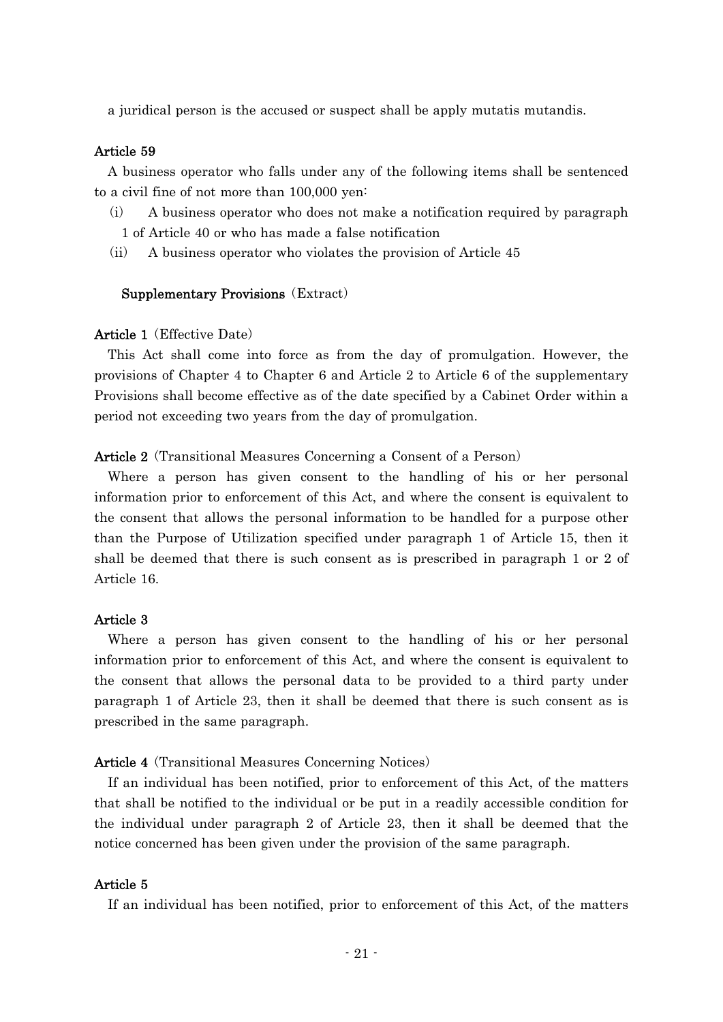a juridical person is the accused or suspect shall be apply mutatis mutandis.

## Article 59

A business operator who falls under any of the following items shall be sentenced to a civil fine of not more than 100,000 yen:

- $(i)$  A business operator who does not make a notification required by paragraph 1 of Article 40 or who has made a false notification
- $(i)$  A business operator who violates the provision of Article 45

#### Supplementary Provisions (Extract)

#### Article 1 (Effective Date)

This Act shall come into force as from the day of promulgation. However, the provisions of Chapter 4 to Chapter 6 and Article 2 to Article 6 of the supplementary Provisions shall become effective as of the date specified by a Cabinet Order within a period not exceeding two years from the day of promulgation.

### Article 2 (Transitional Measures Concerning a Consent of a Person)

Where a person has given consent to the handling of his or her personal information prior to enforcement of this Act, and where the consent is equivalent to the consent that allows the personal information to be handled for a purpose other than the Purpose of Utilization specified under paragraph 1 of Article 15, then it shall be deemed that there is such consent as is prescribed in paragraph 1 or 2 of Article 16.

### Article 3

Where a person has given consent to the handling of his or her personal information prior to enforcement of this Act, and where the consent is equivalent to the consent that allows the personal data to be provided to a third party under paragraph 1 of Article 23, then it shall be deemed that there is such consent as is prescribed in the same paragraph.

#### **Article 4** (Transitional Measures Concerning Notices)

If an individual has been notified, prior to enforcement of this Act, of the matters that shall be notified to the individual or be put in a readily accessible condition for the individual under paragraph 2 of Article 23, then it shall be deemed that the notice concerned has been given under the provision of the same paragraph.

### Article 5

If an individual has been notified, prior to enforcement of this Act, of the matters